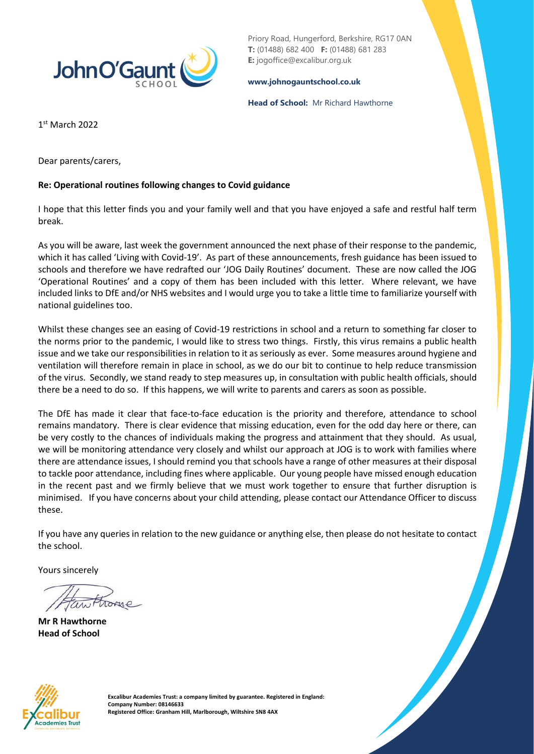

Priory Road, Hungerford, Berkshire, RG17 0AN **T:** (01488) 682 400 **F:** (01488) 681 283 **E:** jogoffice@excalibur.org.uk

#### **[www.johnogauntschool.co.uk](http://www.johnogauntschool.co.uk/)**

**Head of School:** Mr Richard Hawthorne

1 st March 2022

Dear parents/carers,

### **Re: Operational routines following changes to Covid guidance**

I hope that this letter finds you and your family well and that you have enjoyed a safe and restful half term break.

As you will be aware, last week the government announced the next phase of their response to the pandemic, which it has called 'Living with Covid-19'. As part of these announcements, fresh guidance has been issued to schools and therefore we have redrafted our 'JOG Daily Routines' document. These are now called the JOG 'Operational Routines' and a copy of them has been included with this letter. Where relevant, we have included links to DfE and/or NHS websites and I would urge you to take a little time to familiarize yourself with national guidelines too.

Whilst these changes see an easing of Covid-19 restrictions in school and a return to something far closer to the norms prior to the pandemic, I would like to stress two things. Firstly, this virus remains a public health issue and we take our responsibilities in relation to it as seriously as ever. Some measures around hygiene and ventilation will therefore remain in place in school, as we do our bit to continue to help reduce transmission of the virus. Secondly, we stand ready to step measures up, in consultation with public health officials, should there be a need to do so. If this happens, we will write to parents and carers as soon as possible.

The DfE has made it clear that face-to-face education is the priority and therefore, attendance to school remains mandatory. There is clear evidence that missing education, even for the odd day here or there, can be very costly to the chances of individuals making the progress and attainment that they should. As usual, we will be monitoring attendance very closely and whilst our approach at JOG is to work with families where there are attendance issues, I should remind you that schools have a range of other measures at their disposal to tackle poor attendance, including fines where applicable. Our young people have missed enough education in the recent past and we firmly believe that we must work together to ensure that further disruption is minimised. If you have concerns about your child attending, please contact our Attendance Officer to discuss these.

If you have any queries in relation to the new guidance or anything else, then please do not hesitate to contact the school.

Yours sincerely

**Mr R Hawthorne Head of School**



**Excalibur Academies Trust: a company limited by guarantee. Registered in England: Company Number: 08146633 Registered Office: Granham Hill, Marlborough, Wiltshire SN8 4AX**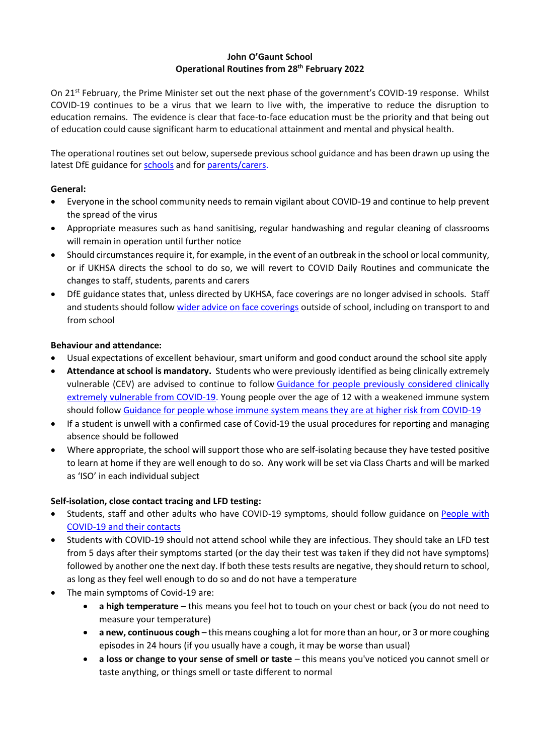### **John O'Gaunt School Operational Routines from 28th February 2022**

On 21<sup>st</sup> February, the Prime Minister set out the next phase of the government's COVID-19 response. Whilst COVID-19 continues to be a virus that we learn to live with, the imperative to reduce the disruption to education remains. The evidence is clear that face-to-face education must be the priority and that being out of education could cause significant harm to educational attainment and mental and physical health.

The operational routines set out below, supersede previous school guidance and has been drawn up using the latest DfE guidance fo[r schools](https://www.gov.uk/government/publications/actions-for-schools-during-the-coronavirus-outbreak) and for [parents/carers.](https://www.gov.uk/government/publications/what-parents-and-carers-need-to-know-about-early-years-providers-schools-and-colleges-during-the-coronavirus-covid-19-outbreak/step-4-update-what-parents-and-carers-need-to-know-about-early-years-providers-schools-and-colleges)

## **General:**

- Everyone in the school community needs to remain vigilant about COVID-19 and continue to help prevent the spread of the virus
- Appropriate measures such as hand sanitising, regular handwashing and regular cleaning of classrooms will remain in operation until further notice
- Should circumstances require it, for example, in the event of an outbreak in the school or local community, or if UKHSA directs the school to do so, we will revert to COVID Daily Routines and communicate the changes to staff, students, parents and carers
- DfE guidance states that, unless directed by UKHSA, face coverings are no longer advised in schools. Staff and students should follow [wider advice on face coverings](https://www.gov.uk/government/publications/face-coverings-when-to-wear-one-and-how-to-make-your-own/face-coverings-when-to-wear-one-and-how-to-make-your-own) outside of school, including on transport to and from school

# **Behaviour and attendance:**

- Usual expectations of excellent behaviour, smart uniform and good conduct around the school site apply
- **Attendance at school is mandatory.** Students who were previously identified as being clinically extremely vulnerable (CEV) are advised to continue to follow [Guidance for people previously considered clinically](https://www.gov.uk/government/publications/guidance-on-shielding-and-protecting-extremely-vulnerable-persons-from-covid-19)  [extremely vulnerable from COVID-19.](https://www.gov.uk/government/publications/guidance-on-shielding-and-protecting-extremely-vulnerable-persons-from-covid-19) Young people over the age of 12 with a weakened immune system should follow [Guidance for people whose immune system means they are at higher risk from COVID-19](https://www.gov.uk/government/publications/covid-19-guidance-for-people-whose-immune-system-means-they-are-at-higher-risk)
- If a student is unwell with a confirmed case of Covid-19 the usual procedures for reporting and managing absence should be followed
- Where appropriate, the school will support those who are self-isolating because they have tested positive to learn at home if they are well enough to do so. Any work will be set via Class Charts and will be marked as 'ISO' in each individual subject

# **Self-isolation, close contact tracing and LFD testing:**

- Students, staff and other adults who have COVID-19 symptoms, should follow guidance on People with [COVID-19 and their contacts](https://www.gov.uk/government/publications/covid-19-people-with-covid-19-and-their-contacts)
- Students with COVID-19 should not attend school while they are infectious. They should take an LFD test from 5 days after their symptoms started (or the day their test was taken if they did not have symptoms) followed by another one the next day. If both these tests results are negative, they should return to school, as long as they feel well enough to do so and do not have a temperature
- The main symptoms of Covid-19 are:
	- **a high temperature** this means you feel hot to touch on your chest or back (you do not need to measure your temperature)
	- **a new, continuous cough** this means coughing a lot for more than an hour, or 3 or more coughing episodes in 24 hours (if you usually have a cough, it may be worse than usual)
	- **a loss or change to your sense of smell or taste** this means you've noticed you cannot smell or taste anything, or things smell or taste different to normal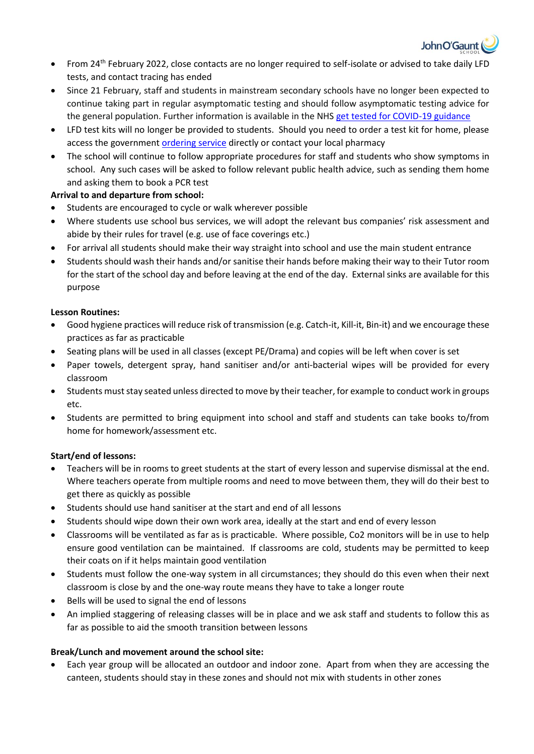

- From 24<sup>th</sup> February 2022, close contacts are no longer required to self-isolate or advised to take daily LFD tests, and contact tracing has ended
- Since 21 February, staff and students in mainstream secondary schools have no longer been expected to continue taking part in regular asymptomatic testing and should follow asymptomatic testing advice for the general population. Further information is available in the NHS [get tested for COVID-19 guidance](https://www.nhs.uk/conditions/coronavirus-covid-19/testing/get-tested-for-coronavirus/)
- LFD test kits will no longer be provided to students. Should you need to order a test kit for home, please access the governmen[t ordering service](https://www.gov.uk/order-coronavirus-rapid-lateral-flow-tests?utm_source=24%20February%202022%20C19&utm_medium=Daily%20Email%20C19&utm_campaign=DfE%20C19) directly or contact your local pharmacy
- The school will continue to follow appropriate procedures for staff and students who show symptoms in school. Any such cases will be asked to follow relevant public health advice, such as sending them home and asking them to book a PCR test

# **Arrival to and departure from school:**

- Students are encouraged to cycle or walk wherever possible
- Where students use school bus services, we will adopt the relevant bus companies' risk assessment and abide by their rules for travel (e.g. use of face coverings etc.)
- For arrival all students should make their way straight into school and use the main student entrance
- Students should wash their hands and/or sanitise their hands before making their way to their Tutor room for the start of the school day and before leaving at the end of the day. External sinks are available for this purpose

## **Lesson Routines:**

- Good hygiene practices will reduce risk of transmission (e.g. Catch-it, Kill-it, Bin-it) and we encourage these practices as far as practicable
- Seating plans will be used in all classes (except PE/Drama) and copies will be left when cover is set
- Paper towels, detergent spray, hand sanitiser and/or anti-bacterial wipes will be provided for every classroom
- Students must stay seated unless directed to move by their teacher, for example to conduct work in groups etc.
- Students are permitted to bring equipment into school and staff and students can take books to/from home for homework/assessment etc.

### **Start/end of lessons:**

- Teachers will be in rooms to greet students at the start of every lesson and supervise dismissal at the end. Where teachers operate from multiple rooms and need to move between them, they will do their best to get there as quickly as possible
- Students should use hand sanitiser at the start and end of all lessons
- Students should wipe down their own work area, ideally at the start and end of every lesson
- Classrooms will be ventilated as far as is practicable. Where possible, Co2 monitors will be in use to help ensure good ventilation can be maintained. If classrooms are cold, students may be permitted to keep their coats on if it helps maintain good ventilation
- Students must follow the one-way system in all circumstances; they should do this even when their next classroom is close by and the one-way route means they have to take a longer route
- Bells will be used to signal the end of lessons
- An implied staggering of releasing classes will be in place and we ask staff and students to follow this as far as possible to aid the smooth transition between lessons

### **Break/Lunch and movement around the school site:**

• Each year group will be allocated an outdoor and indoor zone. Apart from when they are accessing the canteen, students should stay in these zones and should not mix with students in other zones